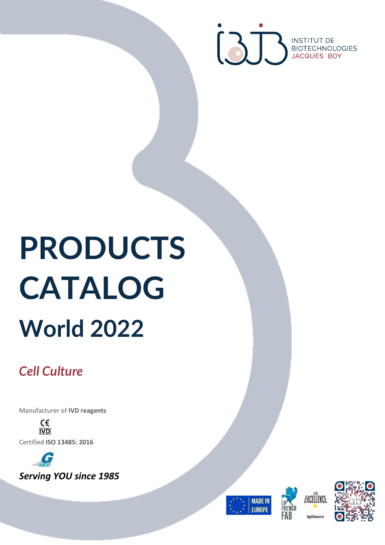

# **PRODUCTS CATALOG World 2022**

# *Cell Culture*

Manufacturer of **IVD reagents**

 $C \in$ **IVD** Certified **ISO 13485: 2016**







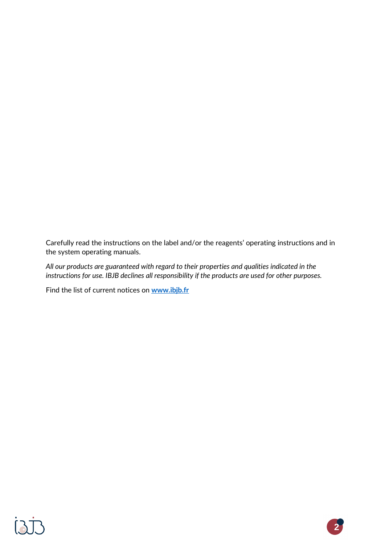Carefully read the instructions on the label and/or the reagents' operating instructions and in the system operating manuals.

*All our products are guaranteed with regard to their properties and qualities indicated in the instructions for use. IBJB declines all responsibility if the products are used for other purposes.*

Find the list of current notices on **[www.ibjb.fr](https://www.ibjb.fr/en/customer/documentation)**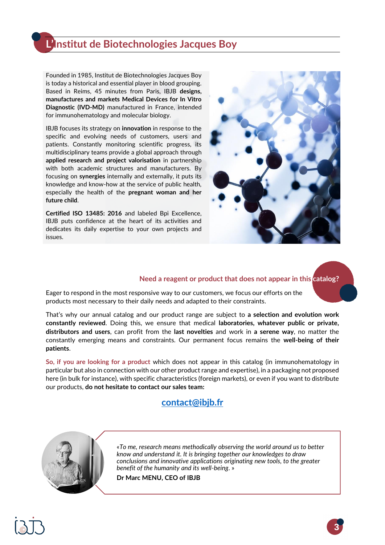### **L'Institut de Biotechnologies Jacques Boy**

Founded in 1985, Institut de Biotechnologies Jacques Boy is today a historical and essential player in blood grouping. Based in Reims, 45 minutes from Paris, IBJB **designs, manufactures and markets Medical Devices for In Vitro Diagnostic (IVD-MD)** manufactured in France, intended for immunohematology and molecular biology.

IBJB focuses its strategy on **innovation** in response to the specific and evolving needs of customers, users and patients. Constantly monitoring scientific progress, its multidisciplinary teams provide a global approach through **applied research and project valorisation** in partnership with both academic structures and manufacturers. By focusing on **synergies** internally and externally, it puts its knowledge and know-how at the service of public health, especially the health of the **pregnant woman and her future child**.

**Certified ISO 13485: 2016** and labeled Bpi Excellence, IBJB puts confidence at the heart of its activities and dedicates its daily expertise to your own projects and issues.



#### **Need a reagent or product that does not appear in this catalog?**

Eager to respond in the most responsive way to our customers, we focus our efforts on the products most necessary to their daily needs and adapted to their constraints.

That's why our annual catalog and our product range are subject to **a selection and evolution work constantly reviewed**. Doing this, we ensure that medical **laboratories, whatever public or private, distributors and users**, can profit from the **last novelties** and work in **a serene way**, no matter the constantly emerging means and constraints. Our permanent focus remains the **well-being of their patients**.

**So, if you are looking for a product** which does not appear in this catalog (in immunohematology in particular but also in connection with our other product range and expertise), in a packaging not proposed here (in bulk for instance), with specific characteristics (foreign markets), or even if you want to distribute our products, **do not hesitate to contact our sales team:**

#### **[contact@ibjb.fr](mailto:contact@ibjb.fr)**



«*To me, research means methodically observing the world around us to better know and understand it. It is bringing together our knowledges to draw conclusions and innovative applications originating new tools, to the greater benefit of the humanity and its well-being*. »

**Dr Marc MENU, CEO of IBJB**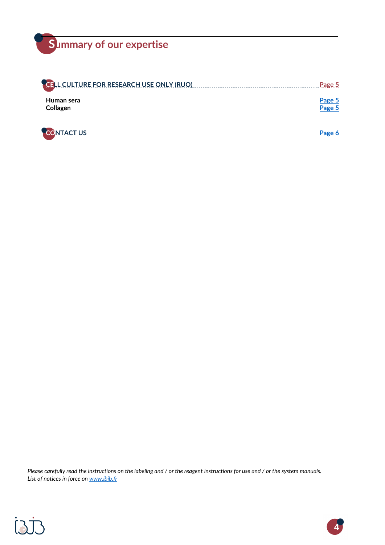## **Summary of our expertise**

| <b>CELL CULTURE FOR RESEARCH USE ONLY (RUO)</b> | Page 5           |
|-------------------------------------------------|------------------|
| Human sera<br>Collagen                          | Page 5<br>Page 5 |
| <b>CONTACT US</b>                               | Page 6           |

*Please carefully read the instructions on the labeling and / or the reagent instructions for use and / or the system manuals. List of notices in force on [www.ibjb.fr](http://www.ibjb.fr/)*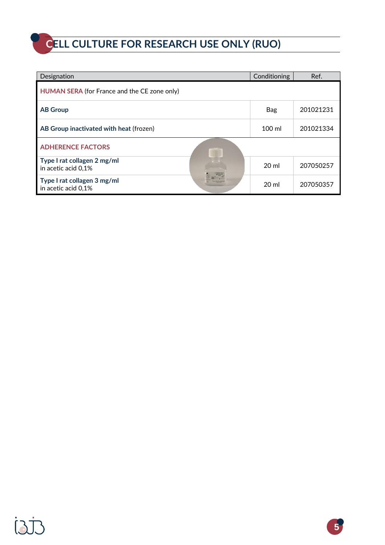# <span id="page-4-0"></span>**CELL CULTURE FOR RESEARCH USE ONLY (RUO)**

| Designation                                        | Conditioning    | Ref.      |
|----------------------------------------------------|-----------------|-----------|
| HUMAN SERA (for France and the CE zone only)       |                 |           |
| <b>AB Group</b>                                    | Bag             | 201021231 |
| AB Group inactivated with heat (frozen)            | $100$ ml        | 201021334 |
| <b>ADHERENCE FACTORS</b>                           |                 |           |
| Type I rat collagen 2 mg/ml<br>in acetic acid 0,1% | 20 ml           | 207050257 |
| Type I rat collagen 3 mg/ml<br>in acetic acid 0,1% | 20 <sub>m</sub> | 207050357 |